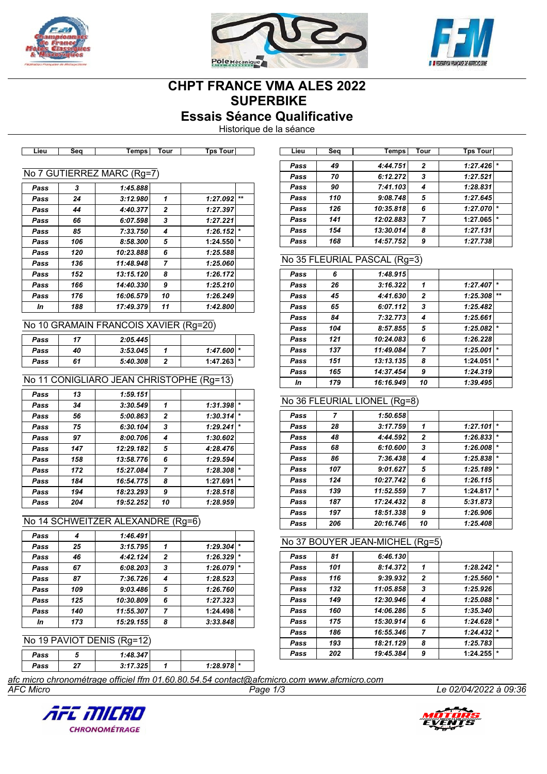





# **CHPT FRANCE VMA ALES 2022 SUPERBIKE**

**Essais Séance Qualificative**

Historique de la séance

| 3   | 1:45.888  |                |                            |         |
|-----|-----------|----------------|----------------------------|---------|
| 24  | 3:12.980  | 1              | 1:27.092                   | $+ +$   |
| 44  | 4:40.377  | $\overline{2}$ | 1:27.397                   |         |
| 66  | 6:07.598  | 3              | 1:27.221                   |         |
| 85  | 7:33.750  | 4              | 1:26.152                   | $\star$ |
| 106 | 8:58.300  | 5              | 1:24.550                   | $\star$ |
| 120 | 10:23.888 | 6              | 1:25.588                   |         |
| 136 | 11:48.948 | 7              | 1:25.060                   |         |
| 152 | 13:15.120 | 8              | 1:26.172                   |         |
| 166 | 14:40.330 | 9              | 1:25.210                   |         |
| 176 | 16:06.579 | 10             | 1:26.249                   |         |
| 188 | 17:49.379 | 11             | 1:42.800                   |         |
|     |           |                | No 7 GUTIERREZ MARC (Rg=7) |         |

**Lieu Seq Temps Tour Tps Tour Lieu Seq Temps Tour Tps Tour**

#### No 10 GRAMAIN FRANCOIS XAVIER (Rg=20)

| Pass | 17 | 2:05.445 |              |  |
|------|----|----------|--------------|--|
| Pass | 40 | 3:53.045 | $1:47.600$ * |  |
| Pass | 61 | 5:40.308 | $1:47.263$ * |  |
|      |    |          |              |  |

#### No 11 CONIGLIARO JEAN CHRISTOPHE (Rg=13)

| $\ast$<br>1:31.398  |
|---------------------|
| $\star$<br>1:30.314 |
| 1:29.241            |
| 1:30.602            |
| 4:28.476            |
| 1:29.594            |
| $\star$<br>1:28.308 |
| 1:27.691            |
| 1:28.518            |
| 1:28.959            |
|                     |

#### No 14 SCHWEITZER ALEXANDRE (Rg=6)

| Pass |     | 1:46.491  |                |          |         |
|------|-----|-----------|----------------|----------|---------|
| Pass | 25  | 3:15.795  |                | 1:29.304 | $\star$ |
| Pass | 46  | 4:42.124  | $\overline{2}$ | 1:26.329 | $\star$ |
| Pass | 67  | 6:08.203  | 3              | 1:26.079 |         |
| Pass | 87  | 7:36.726  | 4              | 1:28.523 |         |
| Pass | 109 | 9:03.486  | 5              | 1:26.760 |         |
| Pass | 125 | 10:30.809 | 6              | 1:27.323 |         |
| Pass | 140 | 11:55.307 | 7              | 1:24.498 | $\star$ |
| In   | 173 | 15:29.155 | 8              | 3:33.848 |         |

#### No 19 PAVIOT DENIS (Rg=12)

| Pass | 1:48.347 |              |  |
|------|----------|--------------|--|
| Pass | 9.47995  | $1:28.978$ * |  |

| Lieu | Sea | Temps     | Tour           | <b>Tps Tour</b> |         |
|------|-----|-----------|----------------|-----------------|---------|
|      |     |           |                |                 |         |
| Pass | 49  | 4:44.751  | $\overline{2}$ | 1:27.426        |         |
| Pass | 70  | 6:12.272  | 3              | 1:27.521        |         |
| Pass | 90  | 7:41.103  | 4              | 1:28.831        |         |
| Pass | 110 | 9:08.748  | 5              | 1:27.645        |         |
| Pass | 126 | 10:35.818 | 6              | 1:27.070        | $\star$ |
| Pass | 141 | 12:02.883 |                | 1:27.065        | $\star$ |
| Pass | 154 | 13:30.014 | 8              | 1:27.131        |         |
| Pass | 168 | 14:57.752 | 9              | 1:27.738        |         |

## No 35 FLEURIAL PASCAL (Rg=3)

| Pass | 6   | 1:48.915  |                |          |         |
|------|-----|-----------|----------------|----------|---------|
| Pass | 26  | 3:16.322  | 1              | 1:27.407 | $\star$ |
| Pass | 45  | 4:41.630  | $\overline{2}$ | 1:25.308 | $***$   |
| Pass | 65  | 6:07.112  | 3              | 1:25.482 |         |
| Pass | 84  | 7:32.773  | 4              | 1:25.661 |         |
| Pass | 104 | 8:57.855  | 5              | 1:25.082 | $\star$ |
| Pass | 121 | 10:24.083 | 6              | 1:26.228 |         |
| Pass | 137 | 11:49.084 | $\overline{7}$ | 1:25.001 | $\star$ |
| Pass | 151 | 13:13.135 | 8              | 1:24.051 | $\star$ |
| Pass | 165 | 14:37.454 | 9              | 1:24.319 |         |
| In   | 179 | 16:16.949 | 10             | 1:39.495 |         |

## No 36 FLEURIAL LIONEL (Rg=8)

| Pass | 7   | 1:50.658  |                |          |         |
|------|-----|-----------|----------------|----------|---------|
| Pass | 28  | 3:17.759  | 1              | 1:27.101 | $\star$ |
| Pass | 48  | 4:44.592  | $\mathbf{2}$   | 1:26.833 | $\star$ |
| Pass | 68  | 6:10.600  | 3              | 1:26.008 | $\star$ |
| Pass | 86  | 7:36.438  | 4              | 1:25.838 | $\star$ |
| Pass | 107 | 9:01.627  | 5              | 1:25.189 | $\star$ |
| Pass | 124 | 10:27.742 | 6              | 1:26.115 |         |
| Pass | 139 | 11:52.559 | $\overline{7}$ | 1:24.817 | $\star$ |
| Pass | 187 | 17:24.432 | 8              | 5:31.873 |         |
| Pass | 197 | 18:51.338 | 9              | 1:26.906 |         |
| Pass | 206 | 20:16.746 | 10             | 1:25.408 |         |

#### No 37 BOUYER JEAN-MICHEL (Rg=5)

| 6:46.130<br>Pass<br>81<br>8:14.372<br>1:28.242<br>101<br>1<br>Pass<br>$\overline{2}$<br>1:25.560<br>9:39.932<br>116<br>Pass<br>3<br>11:05.858<br>1:25.926<br>132<br>Pass<br>12:30.946<br>1:25.088<br>149<br>4<br>Pass<br>14:06.286<br>5<br>1:35.340<br>160<br>Pass<br>6<br>1:24.628<br>15:30.914<br>175<br>Pass<br>7<br>1:24.432<br>16:55.346<br>186<br>Pass<br>18:21.129<br>1:25.783<br>8<br>193<br>Pass<br>202<br>1:24.255<br>19:45.384<br>9<br>Pass |  |  |         |
|--------------------------------------------------------------------------------------------------------------------------------------------------------------------------------------------------------------------------------------------------------------------------------------------------------------------------------------------------------------------------------------------------------------------------------------------------------|--|--|---------|
|                                                                                                                                                                                                                                                                                                                                                                                                                                                        |  |  |         |
|                                                                                                                                                                                                                                                                                                                                                                                                                                                        |  |  | $\star$ |
|                                                                                                                                                                                                                                                                                                                                                                                                                                                        |  |  | $\star$ |
|                                                                                                                                                                                                                                                                                                                                                                                                                                                        |  |  |         |
|                                                                                                                                                                                                                                                                                                                                                                                                                                                        |  |  | $\star$ |
|                                                                                                                                                                                                                                                                                                                                                                                                                                                        |  |  |         |
|                                                                                                                                                                                                                                                                                                                                                                                                                                                        |  |  | $\star$ |
|                                                                                                                                                                                                                                                                                                                                                                                                                                                        |  |  | $\star$ |
|                                                                                                                                                                                                                                                                                                                                                                                                                                                        |  |  |         |
|                                                                                                                                                                                                                                                                                                                                                                                                                                                        |  |  | $\star$ |

*AFC Micro Page 1/3 Le 02/04/2022 à 09:36 afc micro chronométrage officiel ffm 01.60.80.54.54 contact@afcmicro.com www.afcmicro.com*



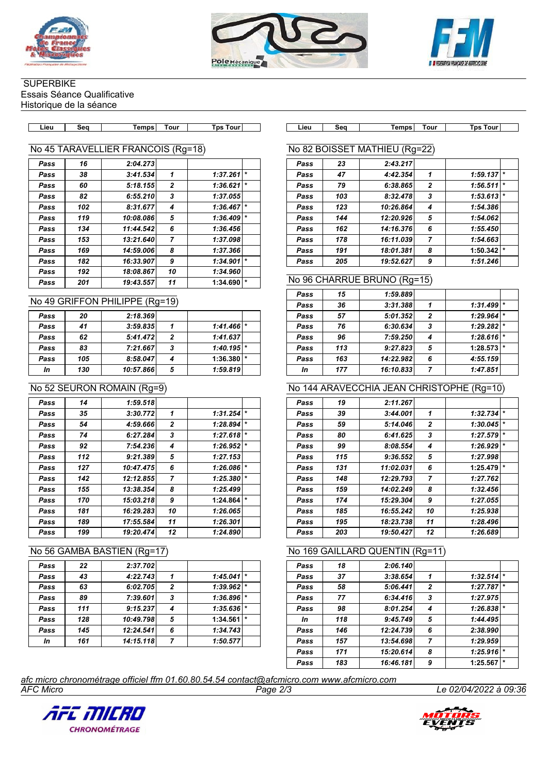





## **SUPERBIKE** Essais Séance Qualificative

Historique de la séance

| $-1$ | Гоur<br>Tour<br>Tour<br>Temps<br>Sec<br>Lieu<br>Tps | Tps | Tour | Temps | 500 | ∟ieu |
|------|-----------------------------------------------------|-----|------|-------|-----|------|

## No 45 TARAVELLIER FRANCOIS (Rg=18)

| Pass | 16  | 2:04.273  |              |          |         |
|------|-----|-----------|--------------|----------|---------|
| Pass | 38  | 3:41.534  | 1            | 1:37.261 | $\star$ |
| Pass | 60  | 5:18.155  | $\mathbf{2}$ | 1:36.621 | $\star$ |
| Pass | 82  | 6:55.210  | 3            | 1:37.055 |         |
| Pass | 102 | 8:31.677  | 4            | 1:36.467 | $\star$ |
| Pass | 119 | 10:08.086 | 5            | 1:36.409 | $\star$ |
| Pass | 134 | 11:44.542 | 6            | 1:36.456 |         |
| Pass | 153 | 13:21.640 | 7            | 1:37.098 |         |
| Pass | 169 | 14:59.006 | 8            | 1:37.366 |         |
| Pass | 182 | 16:33.907 | 9            | 1:34.901 | $\star$ |
| Pass | 192 | 18:08.867 | 10           | 1:34.960 |         |
| Pass | 201 | 19:43.557 | 11           | 1:34.690 | $\star$ |
|      |     |           |              |          |         |

## No 49 GRIFFON PHILIPPE (Rg=19)

| Pass | 20  | 2:18.369  |   |                         |  |
|------|-----|-----------|---|-------------------------|--|
| Pass | 41  | 3:59.835  |   | $1:41.466$ <sup>*</sup> |  |
| Pass | 62  | 5:41.472  | 2 | 1:41.637                |  |
| Pass | 83  | 7:21.667  | 3 | $1:40.195$ <sup>*</sup> |  |
| Pass | 105 | 8:58.047  |   | $1:36.380$ $*$          |  |
| In   | 130 | 10:57.866 | 5 | 1:59.819                |  |
|      |     |           |   |                         |  |

## No 52 SEURON ROMAIN (Rg=9)

| Pass | 14  | 1:59.518  |                |          |         |
|------|-----|-----------|----------------|----------|---------|
| Pass | 35  | 3:30.772  | 1              | 1:31.254 | $\star$ |
| Pass | 54  | 4:59.666  | $\mathbf{2}$   | 1:28.894 | $\star$ |
| Pass | 74  | 6:27.284  | 3              | 1:27.618 | $\star$ |
| Pass | 92  | 7:54.236  | 4              | 1:26.952 | *       |
| Pass | 112 | 9:21.389  | 5              | 1:27.153 |         |
| Pass | 127 | 10:47.475 | 6              | 1:26.086 | $\star$ |
| Pass | 142 | 12:12.855 | $\overline{ }$ | 1:25.380 | $\star$ |
| Pass | 155 | 13:38.354 | 8              | 1:25.499 |         |
| Pass | 170 | 15:03.218 | 9              | 1:24.864 | $\star$ |
| Pass | 181 | 16:29.283 | 10             | 1:26.065 |         |
| Pass | 189 | 17:55.584 | 11             | 1:26.301 |         |
| Pass | 199 | 19:20.474 | 12             | 1:24.890 |         |

## No 56 GAMBA BASTIEN (Rg=17)

| Pass | 22  | 2:37.702  |                |          |         |
|------|-----|-----------|----------------|----------|---------|
| Pass | 43  | 4:22.743  | 1              | 1:45.041 | $\star$ |
| Pass | 63  | 6:02.705  | $\overline{2}$ | 1:39.962 | $\star$ |
| Pass | 89  | 7:39.601  | 3              | 1:36.896 | $\star$ |
| Pass | 111 | 9:15.237  | 4              | 1:35.636 | $\star$ |
| Pass | 128 | 10:49.798 | 5              | 1:34.561 | $\star$ |
| Pass | 145 | 12:24.541 | 6              | 1:34.743 |         |
| In   | 161 | 14:15.118 | 7              | 1:50.577 |         |

## No 82 BOISSET MATHIEU (Rg=22)

| Pass | 23  | 2:43.217  |                |                     |
|------|-----|-----------|----------------|---------------------|
| Pass | 47  | 4:42.354  | 1              | $\star$<br>1:59.137 |
| Pass | 79  | 6:38.865  | $\overline{2}$ | $\star$<br>1:56.511 |
| Pass | 103 | 8:32.478  | 3              | $\ast$<br>1:53.613  |
| Pass | 123 | 10:26.864 | 4              | 1:54.386            |
| Pass | 144 | 12:20.926 | 5              | 1:54.062            |
| Pass | 162 | 14:16.376 | 6              | 1:55.450            |
| Pass | 178 | 16:11.039 | 7              | 1:54.663            |
| Pass | 191 | 18:01.381 | 8              | $\ast$<br>1:50.342  |
| Pass | 205 | 19:52.627 | 9              | 1:51.246            |

#### No 96 CHARRUE BRUNO (Rg=15)

| Pass | 15  | 1:59.889  |                |          |         |
|------|-----|-----------|----------------|----------|---------|
| Pass | 36  | 3:31.388  | 1              | 1:31.499 | $\star$ |
| Pass | 57  | 5:01.352  | $\overline{2}$ | 1:29.964 |         |
| Pass | 76  | 6:30.634  | 3              | 1:29.282 | $\star$ |
| Pass | 96  | 7:59.250  |                | 1:28.616 |         |
| Pass | 113 | 9:27.823  | 5              | 1:28.573 | $\star$ |
| Pass | 163 | 14:22.982 | 6              | 4:55.159 |         |
| In   | 177 | 16:10.833 |                | 1:47.851 |         |

## No 144 ARAVECCHIA JEAN CHRISTOPHE (Rg=10)

| Pass | 19  | 2:11.267  |                |          |         |
|------|-----|-----------|----------------|----------|---------|
| Pass | 39  | 3:44.001  | 1              | 1:32.734 | $\star$ |
| Pass | 59  | 5:14.046  | 2              | 1:30.045 | $\star$ |
| Pass | 80  | 6:41.625  | 3              | 1:27.579 | $\star$ |
| Pass | 99  | 8:08.554  | 4              | 1:26.929 | $\star$ |
| Pass | 115 | 9:36.552  | 5              | 1:27.998 |         |
| Pass | 131 | 11:02.031 | 6              | 1:25.479 | $\star$ |
| Pass | 148 | 12:29.793 | $\overline{7}$ | 1:27.762 |         |
| Pass | 159 | 14:02.249 | 8              | 1:32.456 |         |
| Pass | 174 | 15:29.304 | 9              | 1:27.055 |         |
| Pass | 185 | 16:55.242 | 10             | 1:25.938 |         |
| Pass | 195 | 18:23.738 | 11             | 1:28.496 |         |
| Pass | 203 | 19:50.427 | 12             | 1:26.689 |         |

## No 169 GAILLARD QUENTIN (Rg=11)

| Pass | 18  | 2:06.140  |                |          |         |
|------|-----|-----------|----------------|----------|---------|
| Pass | 37  | 3:38.654  | 1              | 1:32.514 |         |
| Pass | 58  | 5:06.441  | $\overline{2}$ | 1:27.787 | $\star$ |
| Pass | 77  | 6:34.416  | 3              | 1:27.975 |         |
| Pass | 98  | 8:01.254  | 4              | 1:26.838 |         |
| In   | 118 | 9:45.749  | 5              | 1:44.495 |         |
| Pass | 146 | 12:24.739 | 6              | 2:38.990 |         |
| Pass | 157 | 13:54.698 | $\overline{7}$ | 1:29.959 |         |
| Pass | 171 | 15:20.614 | 8              | 1:25.916 | $\star$ |
| Pass | 183 | 16:46.181 | 9              | 1:25.567 | $\star$ |

*AFC Micro Page 2/3 Le 02/04/2022 à 09:36 afc micro chronométrage officiel ffm 01.60.80.54.54 contact@afcmicro.com www.afcmicro.com*